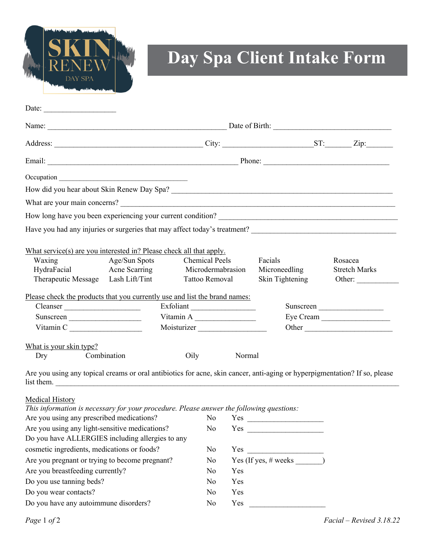

## **Day Spa Client Intake Form**

| Date:                                                                                                                                    |                                    |                       |                   |           |                 |                      |         |  |  |  |
|------------------------------------------------------------------------------------------------------------------------------------------|------------------------------------|-----------------------|-------------------|-----------|-----------------|----------------------|---------|--|--|--|
|                                                                                                                                          |                                    |                       |                   |           |                 |                      |         |  |  |  |
|                                                                                                                                          |                                    |                       |                   |           |                 |                      |         |  |  |  |
|                                                                                                                                          |                                    |                       |                   |           |                 |                      |         |  |  |  |
|                                                                                                                                          |                                    |                       |                   |           |                 |                      |         |  |  |  |
|                                                                                                                                          |                                    |                       |                   |           |                 |                      |         |  |  |  |
|                                                                                                                                          |                                    |                       |                   |           |                 |                      |         |  |  |  |
|                                                                                                                                          |                                    |                       |                   |           |                 |                      |         |  |  |  |
| Have you had any injuries or surgeries that may affect today's treatment?                                                                |                                    |                       |                   |           |                 |                      |         |  |  |  |
|                                                                                                                                          |                                    |                       |                   |           |                 |                      |         |  |  |  |
| What service(s) are you interested in? Please check all that apply.                                                                      |                                    |                       |                   |           |                 |                      |         |  |  |  |
| Age/Sun Spots<br>Waxing                                                                                                                  |                                    | <b>Chemical Peels</b> |                   |           | Facials         |                      | Rosacea |  |  |  |
| HydraFacial<br>Acne Scarring                                                                                                             |                                    |                       | Microdermabrasion |           | Microneedling   | <b>Stretch Marks</b> |         |  |  |  |
|                                                                                                                                          | Therapeutic Message Lash Lift/Tint |                       | Tattoo Removal    |           | Skin Tightening |                      | Other:  |  |  |  |
| Please check the products that you currently use and list the brand names:                                                               |                                    |                       |                   |           |                 |                      |         |  |  |  |
| Cleanser                                                                                                                                 | Exfoliant                          |                       |                   | Sunscreen |                 |                      |         |  |  |  |
| Sunscreen                                                                                                                                |                                    | Vitamin A             |                   |           | Eye Cream       |                      |         |  |  |  |
| Vitamin C                                                                                                                                | Moisturizer                        |                       |                   | Other     |                 |                      |         |  |  |  |
| What is your skin type?                                                                                                                  |                                    |                       |                   |           |                 |                      |         |  |  |  |
| Dry                                                                                                                                      | Combination                        | Oily                  |                   | Normal    |                 |                      |         |  |  |  |
| Are you using any topical creams or oral antibiotics for acne, skin cancer, anti-aging or hyperpigmentation? If so, please<br>list them. |                                    |                       |                   |           |                 |                      |         |  |  |  |
| <b>Medical History</b>                                                                                                                   |                                    |                       |                   |           |                 |                      |         |  |  |  |
| This information is necessary for your procedure. Please answer the following questions:                                                 |                                    |                       |                   |           |                 |                      |         |  |  |  |
| Are you using any prescribed medications?                                                                                                |                                    |                       | N <sub>o</sub>    |           |                 |                      |         |  |  |  |
| Are you using any light-sensitive medications?                                                                                           |                                    |                       | No.               |           |                 |                      |         |  |  |  |
| Do you have ALLERGIES including allergies to any                                                                                         |                                    |                       |                   |           |                 |                      |         |  |  |  |
| cosmetic ingredients, medications or foods?                                                                                              |                                    |                       | No<br>Yes         |           |                 |                      |         |  |  |  |

Are you pregnant or trying to become pregnant? No Yes (If yes, # weeks \_\_\_\_\_\_)

Are you breastfeeding currently? No Yes Do you use tanning beds? No Yes Do you wear contacts? No Yes Do you have any autoimmune disorders? No Yes

*Page* 1 *of* 2 *Facial – Revised 3.18.22*